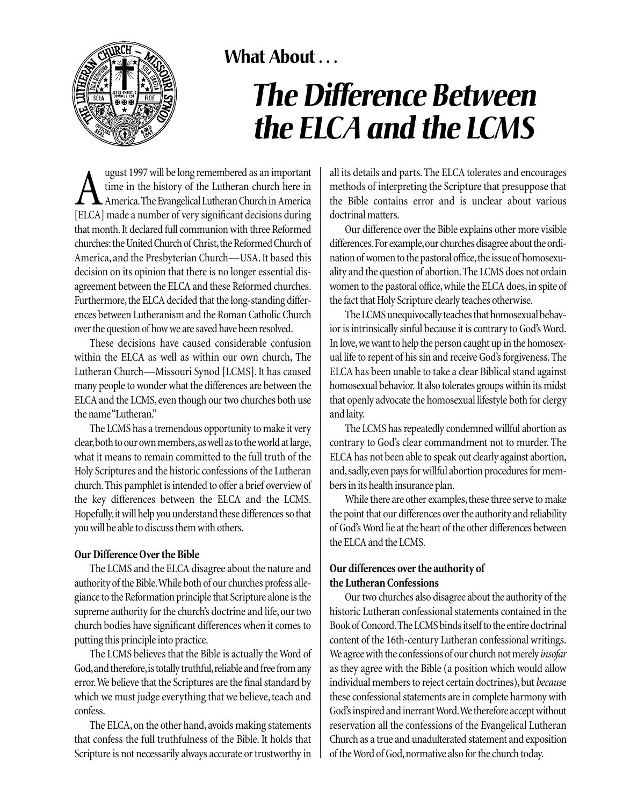

# What About . . .

# *The Difference Between the ELCA and the LCMS*

If time in the history of the Lutheran church here in<br>America. The Evangelical Lutheran Church in America<br>IELCAL made a number of very significant decisions during time in the history of the Lutheran church here in America.The Evangelical Lutheran Church in America [ELCA] made a number of very significant decisions during that month. It declared full communion with three Reformed churches: the United Church of Christ,the Reformed Church of America, and the Presbyterian Church—USA. It based this decision on its opinion that there is no longer essential disagreement between the ELCA and these Reformed churches. Furthermore, the ELCA decided that the long-standing differences between Lutheranism and the Roman Catholic Church over the question of how we are saved have been resolved.

These decisions have caused considerable confusion within the ELCA as well as within our own church, The Lutheran Church—Missouri Synod [LCMS]. It has caused many people to wonder what the differences are between the ELCA and the LCMS, even though our two churches both use the name "Lutheran."

The LCMS has a tremendous opportunity to make it very clear,both to our own members,as well as to the world at large, what it means to remain committed to the full truth of the Holy Scriptures and the historic confessions of the Lutheran church.This pamphlet is intended to offer a brief overview of the key differences between the ELCA and the LCMS. Hopefully,it will help you understand these differences so that you will be able to discuss them with others.

# **Our Difference Over the Bible**

The LCMS and the ELCA disagree about the nature and authority of the Bible.While both of our churches profess allegiance to the Reformation principle that Scripture alone is the supreme authority for the church's doctrine and life, our two church bodies have significant differences when it comes to putting this principle into practice.

The LCMS believes that the Bible is actually the Word of God, and therefore, is totally truthful, reliable and free from any error.We believe that the Scriptures are the final standard by which we must judge everything that we believe, teach and confess.

The ELCA, on the other hand, avoids making statements that confess the full truthfulness of the Bible. It holds that Scripture is not necessarily always accurate or trustworthy in all its details and parts. The ELCA tolerates and encourages methods of interpreting the Scripture that presuppose that the Bible contains error and is unclear about various doctrinal matters.

Our difference over the Bible explains other more visible differences.For example,our churches disagree about the ordination of women to the pastoral office, the issue of homosexuality and the question of abortion.The LCMS does not ordain women to the pastoral office, while the ELCA does, in spite of the fact that Holy Scripture clearly teaches otherwise.

The LCMS unequivocally teaches that homosexual behavior is intrinsically sinful because it is contrary to God's Word. In love, we want to help the person caught up in the homosexual life to repent of his sin and receive God's forgiveness.The ELCA has been unable to take a clear Biblical stand against homosexual behavior. It also tolerates groups within its midst that openly advocate the homosexual lifestyle both for clergy and laity.

The LCMS has repeatedly condemned willful abortion as contrary to God's clear commandment not to murder. The ELCA has not been able to speak out clearly against abortion, and, sadly, even pays for willful abortion procedures for members in its health insurance plan.

While there are other examples, these three serve to make the point that our differences over the authority and reliability of God's Word lie at the heart of the other differences between the ELCA and the LCMS.

# **Our differences over the authority of the Lutheran Confessions**

Our two churches also disagree about the authority of the historic Lutheran confessional statements contained in the Book of Concord.The LCMS binds itself to the entire doctrinal content of the 16th-century Lutheran confessional writings. We agree with the confessions of our church not merely *insofar* as they agree with the Bible (a position which would allow individual members to reject certain doctrines), but *becaus*e these confessional statements are in complete harmony with God's inspired and inerrant Word.We therefore accept without reservation all the confessions of the Evangelical Lutheran Church as a true and unadulterated statement and exposition of the Word of God,normative also for the church today.